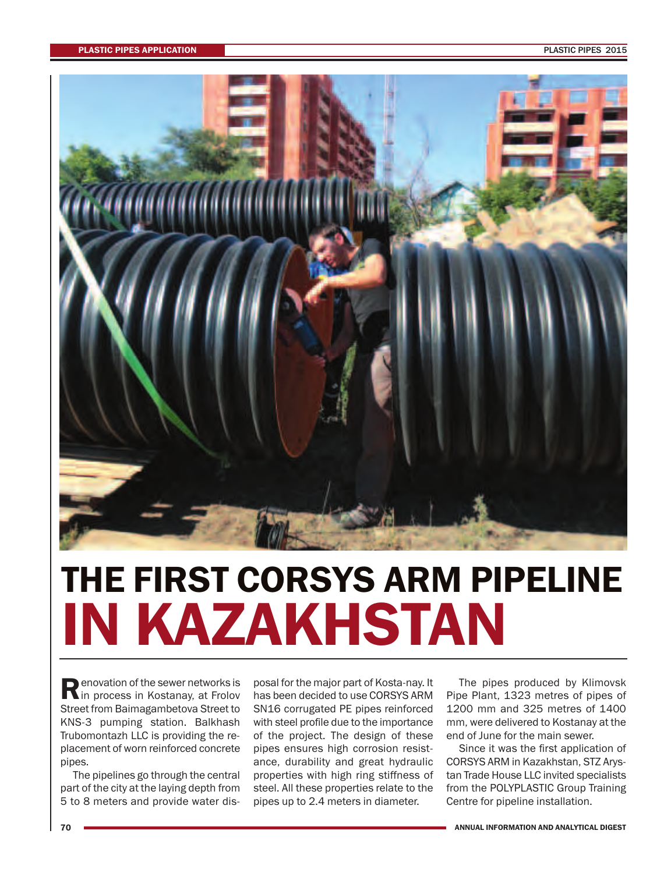

## **THE FIRST CORSYS ARM PIPELINE IN KAZAKHSTAN**

**Renovation of the sewer networks is**<br>in process in Kostanay, at Frolov Street from Baimagambetova Street to KNS-3 pumping station. Balkhash Trubomontazh LLC is providing the replacement of worn reinforced concrete pipes.

The pipelines go through the central part of the city at the laying depth from 5 to 8 meters and provide water dis-

posal for the major part of Kosta-nay. It has been decided to use CORSYS ARM SN16 corrugated PE pipes reinforced with steel profile due to the importance of the project. The design of these pipes ensures high corrosion resistance, durability and great hydraulic properties with high ring stiffness of steel. All these properties relate to the pipes up to 2.4 meters in diameter.

The pipes produced by Klimovsk Pipe Plant, 1323 metres of pipes of 1200 mm and 325 metres of 1400 mm, were delivered to Kostanay at the end of June for the main sewer.

Since it was the first application of CORSYS ARM in Kazakhstan, STZ Arystan Trade House LLC invited specialists from the POLYPLASTIC Group Training Centre for pipeline installation.